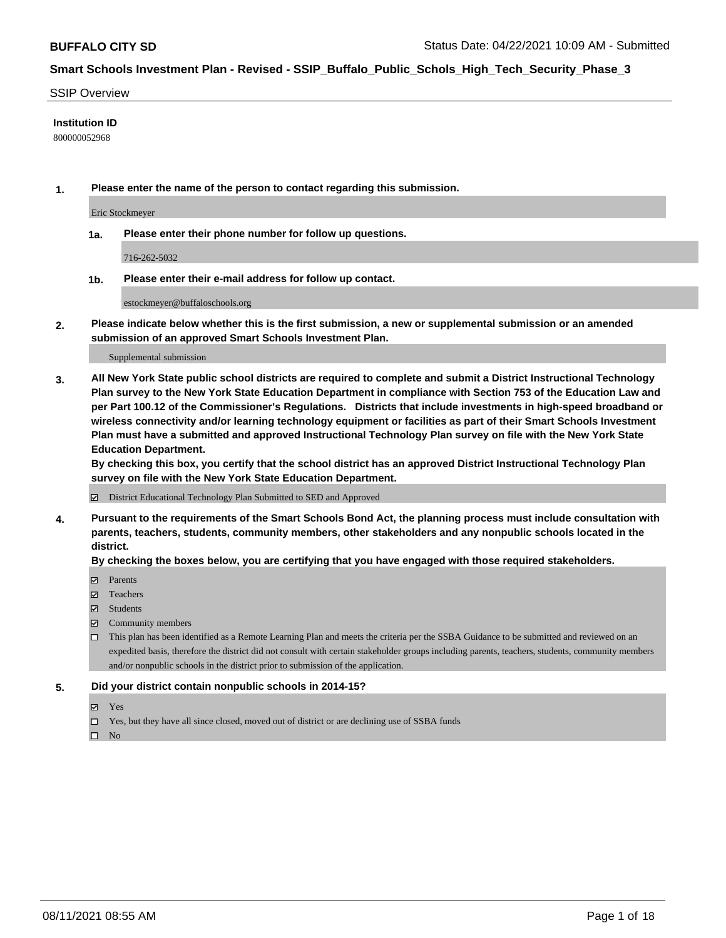#### SSIP Overview

### **Institution ID**

800000052968

**1. Please enter the name of the person to contact regarding this submission.**

Eric Stockmeyer

**1a. Please enter their phone number for follow up questions.**

716-262-5032

**1b. Please enter their e-mail address for follow up contact.**

estockmeyer@buffaloschools.org

**2. Please indicate below whether this is the first submission, a new or supplemental submission or an amended submission of an approved Smart Schools Investment Plan.**

#### Supplemental submission

**3. All New York State public school districts are required to complete and submit a District Instructional Technology Plan survey to the New York State Education Department in compliance with Section 753 of the Education Law and per Part 100.12 of the Commissioner's Regulations. Districts that include investments in high-speed broadband or wireless connectivity and/or learning technology equipment or facilities as part of their Smart Schools Investment Plan must have a submitted and approved Instructional Technology Plan survey on file with the New York State Education Department.** 

**By checking this box, you certify that the school district has an approved District Instructional Technology Plan survey on file with the New York State Education Department.**

District Educational Technology Plan Submitted to SED and Approved

**4. Pursuant to the requirements of the Smart Schools Bond Act, the planning process must include consultation with parents, teachers, students, community members, other stakeholders and any nonpublic schools located in the district.** 

#### **By checking the boxes below, you are certifying that you have engaged with those required stakeholders.**

- **□** Parents
- Teachers
- Students
- $\boxtimes$  Community members
- This plan has been identified as a Remote Learning Plan and meets the criteria per the SSBA Guidance to be submitted and reviewed on an expedited basis, therefore the district did not consult with certain stakeholder groups including parents, teachers, students, community members and/or nonpublic schools in the district prior to submission of the application.
- **5. Did your district contain nonpublic schools in 2014-15?**
	- Yes
	- □ Yes, but they have all since closed, moved out of district or are declining use of SSBA funds

 $\hfill \square$  No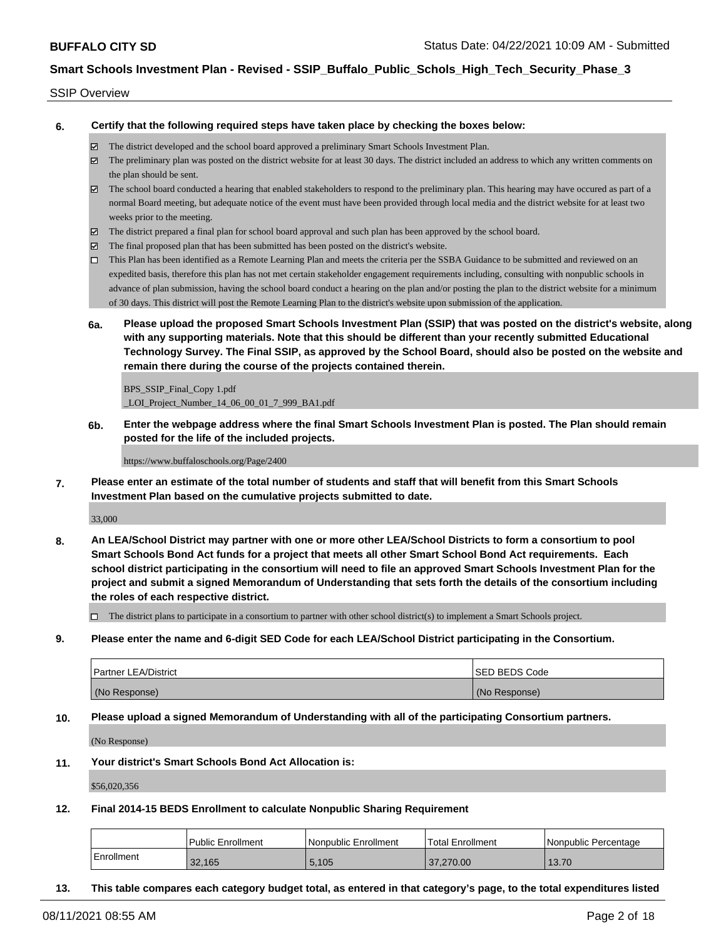#### SSIP Overview

**6. Certify that the following required steps have taken place by checking the boxes below:**

- The district developed and the school board approved a preliminary Smart Schools Investment Plan.
- $\boxtimes$  The preliminary plan was posted on the district website for at least 30 days. The district included an address to which any written comments on the plan should be sent.
- $\boxtimes$  The school board conducted a hearing that enabled stakeholders to respond to the preliminary plan. This hearing may have occured as part of a normal Board meeting, but adequate notice of the event must have been provided through local media and the district website for at least two weeks prior to the meeting.
- The district prepared a final plan for school board approval and such plan has been approved by the school board.
- $\boxtimes$  The final proposed plan that has been submitted has been posted on the district's website.
- This Plan has been identified as a Remote Learning Plan and meets the criteria per the SSBA Guidance to be submitted and reviewed on an expedited basis, therefore this plan has not met certain stakeholder engagement requirements including, consulting with nonpublic schools in advance of plan submission, having the school board conduct a hearing on the plan and/or posting the plan to the district website for a minimum of 30 days. This district will post the Remote Learning Plan to the district's website upon submission of the application.
- **6a. Please upload the proposed Smart Schools Investment Plan (SSIP) that was posted on the district's website, along with any supporting materials. Note that this should be different than your recently submitted Educational Technology Survey. The Final SSIP, as approved by the School Board, should also be posted on the website and remain there during the course of the projects contained therein.**

BPS\_SSIP\_Final\_Copy 1.pdf \_LOI\_Project\_Number\_14\_06\_00\_01\_7\_999\_BA1.pdf

**6b. Enter the webpage address where the final Smart Schools Investment Plan is posted. The Plan should remain posted for the life of the included projects.**

https://www.buffaloschools.org/Page/2400

**7. Please enter an estimate of the total number of students and staff that will benefit from this Smart Schools Investment Plan based on the cumulative projects submitted to date.**

33,000

**8. An LEA/School District may partner with one or more other LEA/School Districts to form a consortium to pool Smart Schools Bond Act funds for a project that meets all other Smart School Bond Act requirements. Each school district participating in the consortium will need to file an approved Smart Schools Investment Plan for the project and submit a signed Memorandum of Understanding that sets forth the details of the consortium including the roles of each respective district.**

 $\Box$  The district plans to participate in a consortium to partner with other school district(s) to implement a Smart Schools project.

**9. Please enter the name and 6-digit SED Code for each LEA/School District participating in the Consortium.**

| <b>Partner LEA/District</b> | <b>ISED BEDS Code</b> |
|-----------------------------|-----------------------|
| (No Response)               | (No Response)         |

**10. Please upload a signed Memorandum of Understanding with all of the participating Consortium partners.**

(No Response)

**11. Your district's Smart Schools Bond Act Allocation is:**

\$56,020,356

**12. Final 2014-15 BEDS Enrollment to calculate Nonpublic Sharing Requirement**

|            | <b>Public Enrollment</b> | Nonpublic Enrollment | Total Enrollment | l Nonpublic Percentage |
|------------|--------------------------|----------------------|------------------|------------------------|
| Enrollment | 32.165                   | 5.105                | 37.270.00        | 13.70                  |

**13. This table compares each category budget total, as entered in that category's page, to the total expenditures listed**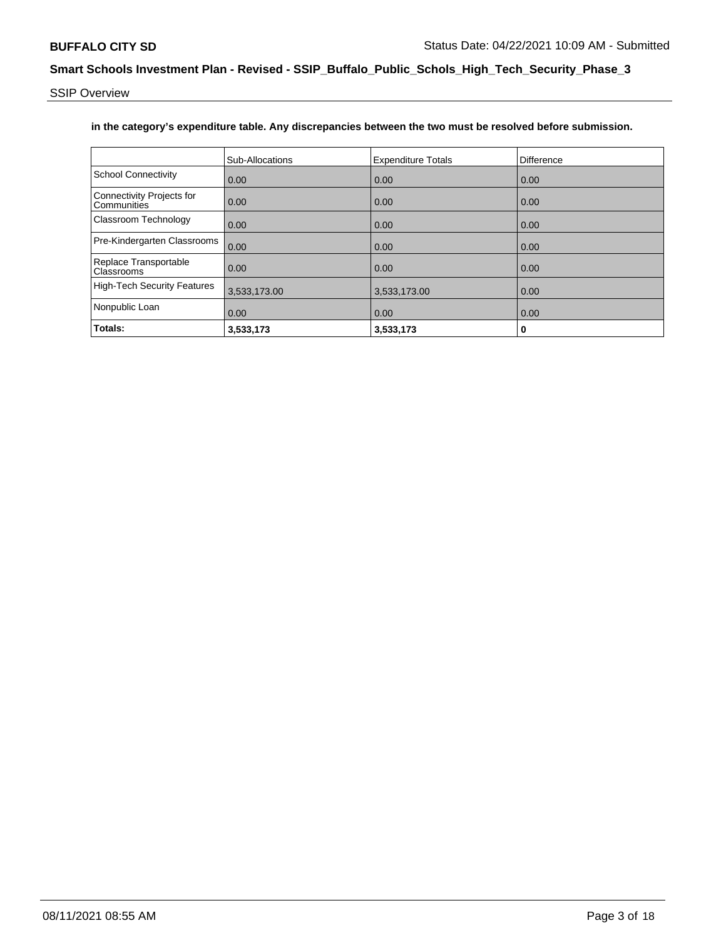SSIP Overview

### **in the category's expenditure table. Any discrepancies between the two must be resolved before submission.**

|                                          | Sub-Allocations | <b>Expenditure Totals</b> | Difference |
|------------------------------------------|-----------------|---------------------------|------------|
| <b>School Connectivity</b>               | 0.00            | 0.00                      | 0.00       |
| Connectivity Projects for<br>Communities | 0.00            | 0.00                      | 0.00       |
| Classroom Technology                     | 0.00            | 0.00                      | 0.00       |
| Pre-Kindergarten Classrooms              | 0.00            | 0.00                      | 0.00       |
| Replace Transportable<br>Classrooms      | 0.00            | 0.00                      | 0.00       |
| <b>High-Tech Security Features</b>       | 3,533,173.00    | 3,533,173.00              | 0.00       |
| Nonpublic Loan                           | 0.00            | 0.00                      | 0.00       |
| Totals:                                  | 3,533,173       | 3,533,173                 | 0          |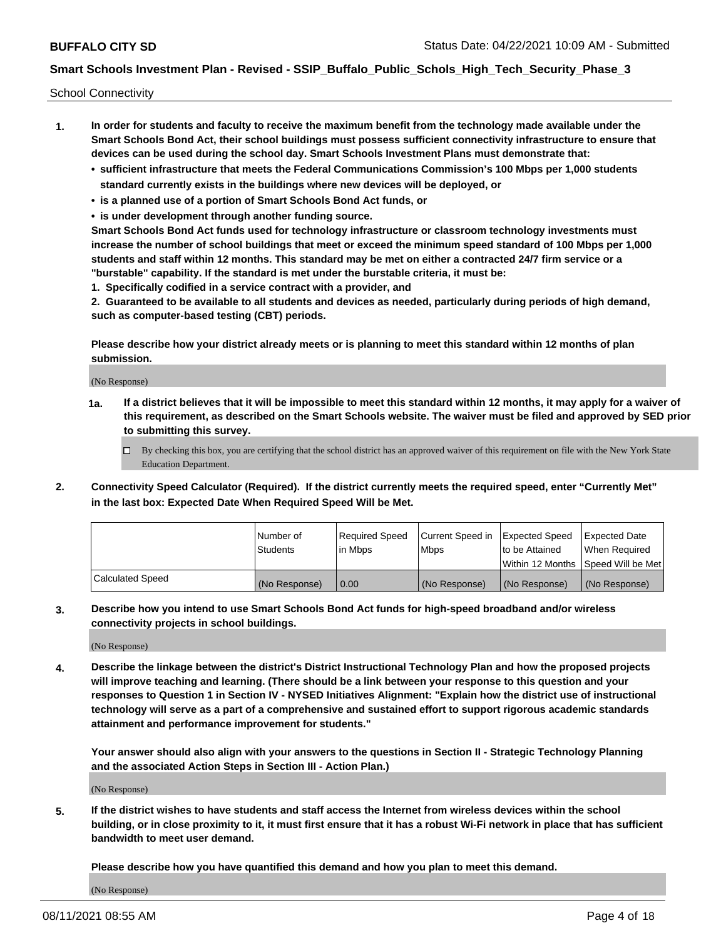School Connectivity

- **1. In order for students and faculty to receive the maximum benefit from the technology made available under the Smart Schools Bond Act, their school buildings must possess sufficient connectivity infrastructure to ensure that devices can be used during the school day. Smart Schools Investment Plans must demonstrate that:**
	- **• sufficient infrastructure that meets the Federal Communications Commission's 100 Mbps per 1,000 students standard currently exists in the buildings where new devices will be deployed, or**
	- **• is a planned use of a portion of Smart Schools Bond Act funds, or**
	- **• is under development through another funding source.**

**Smart Schools Bond Act funds used for technology infrastructure or classroom technology investments must increase the number of school buildings that meet or exceed the minimum speed standard of 100 Mbps per 1,000 students and staff within 12 months. This standard may be met on either a contracted 24/7 firm service or a "burstable" capability. If the standard is met under the burstable criteria, it must be:**

**1. Specifically codified in a service contract with a provider, and**

**2. Guaranteed to be available to all students and devices as needed, particularly during periods of high demand, such as computer-based testing (CBT) periods.**

**Please describe how your district already meets or is planning to meet this standard within 12 months of plan submission.**

(No Response)

**1a. If a district believes that it will be impossible to meet this standard within 12 months, it may apply for a waiver of this requirement, as described on the Smart Schools website. The waiver must be filed and approved by SED prior to submitting this survey.**

 $\Box$  By checking this box, you are certifying that the school district has an approved waiver of this requirement on file with the New York State Education Department.

**2. Connectivity Speed Calculator (Required). If the district currently meets the required speed, enter "Currently Met" in the last box: Expected Date When Required Speed Will be Met.**

|                  | l Number of     | Required Speed | Current Speed in | Expected Speed | Expected Date                           |
|------------------|-----------------|----------------|------------------|----------------|-----------------------------------------|
|                  | <b>Students</b> | In Mbps        | l Mbps           | to be Attained | When Required                           |
|                  |                 |                |                  |                | l Within 12 Months ISpeed Will be Met l |
| Calculated Speed | (No Response)   | 0.00           | (No Response)    | (No Response)  | (No Response)                           |

**3. Describe how you intend to use Smart Schools Bond Act funds for high-speed broadband and/or wireless connectivity projects in school buildings.**

(No Response)

**4. Describe the linkage between the district's District Instructional Technology Plan and how the proposed projects will improve teaching and learning. (There should be a link between your response to this question and your responses to Question 1 in Section IV - NYSED Initiatives Alignment: "Explain how the district use of instructional technology will serve as a part of a comprehensive and sustained effort to support rigorous academic standards attainment and performance improvement for students."** 

**Your answer should also align with your answers to the questions in Section II - Strategic Technology Planning and the associated Action Steps in Section III - Action Plan.)**

(No Response)

**5. If the district wishes to have students and staff access the Internet from wireless devices within the school building, or in close proximity to it, it must first ensure that it has a robust Wi-Fi network in place that has sufficient bandwidth to meet user demand.**

**Please describe how you have quantified this demand and how you plan to meet this demand.**

(No Response)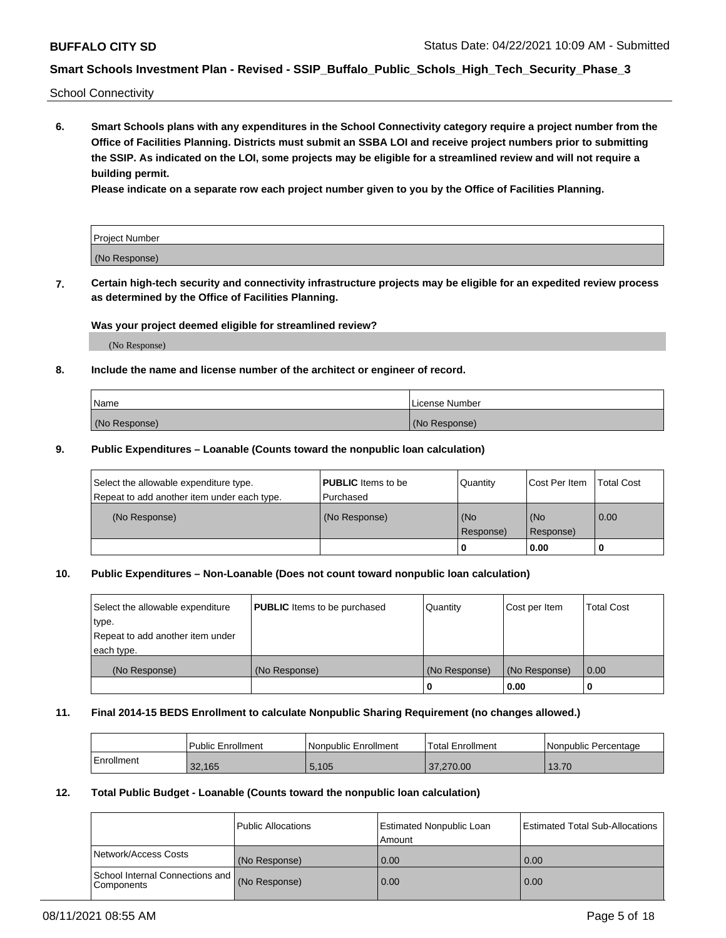School Connectivity

**6. Smart Schools plans with any expenditures in the School Connectivity category require a project number from the Office of Facilities Planning. Districts must submit an SSBA LOI and receive project numbers prior to submitting the SSIP. As indicated on the LOI, some projects may be eligible for a streamlined review and will not require a building permit.**

**Please indicate on a separate row each project number given to you by the Office of Facilities Planning.**

| Project Number |  |
|----------------|--|
| (No Response)  |  |

**7. Certain high-tech security and connectivity infrastructure projects may be eligible for an expedited review process as determined by the Office of Facilities Planning.**

### **Was your project deemed eligible for streamlined review?**

(No Response)

### **8. Include the name and license number of the architect or engineer of record.**

| Name          | License Number |
|---------------|----------------|
| (No Response) | (No Response)  |

### **9. Public Expenditures – Loanable (Counts toward the nonpublic loan calculation)**

| Select the allowable expenditure type.<br>Repeat to add another item under each type. | <b>PUBLIC</b> Items to be<br>l Purchased | Quantity           | Cost Per Item    | <b>Total Cost</b> |
|---------------------------------------------------------------------------------------|------------------------------------------|--------------------|------------------|-------------------|
| (No Response)                                                                         | (No Response)                            | l (No<br>Response) | (No<br>Response) | $\overline{0.00}$ |
|                                                                                       |                                          | O                  | 0.00             |                   |

### **10. Public Expenditures – Non-Loanable (Does not count toward nonpublic loan calculation)**

| Select the allowable expenditure<br>type.<br>Repeat to add another item under<br>each type. | <b>PUBLIC</b> Items to be purchased | Quantity      | Cost per Item | <b>Total Cost</b> |
|---------------------------------------------------------------------------------------------|-------------------------------------|---------------|---------------|-------------------|
| (No Response)                                                                               | (No Response)                       | (No Response) | (No Response) | 0.00              |
|                                                                                             |                                     |               | 0.00          |                   |

#### **11. Final 2014-15 BEDS Enrollment to calculate Nonpublic Sharing Requirement (no changes allowed.)**

|            | Public Enrollment | l Nonpublic Enrollment | <b>Total Enrollment</b> | Nonpublic Percentage |
|------------|-------------------|------------------------|-------------------------|----------------------|
| Enrollment | 32.165            | 5,105                  | 37,270,00               | 13.70                |

### **12. Total Public Budget - Loanable (Counts toward the nonpublic loan calculation)**

|                                                      | Public Allocations | <b>Estimated Nonpublic Loan</b><br>Amount | Estimated Total Sub-Allocations |
|------------------------------------------------------|--------------------|-------------------------------------------|---------------------------------|
| Network/Access Costs                                 | (No Response)      | 0.00                                      | 0.00                            |
| School Internal Connections and<br><b>Components</b> | (No Response)      | 0.00                                      | 0.00                            |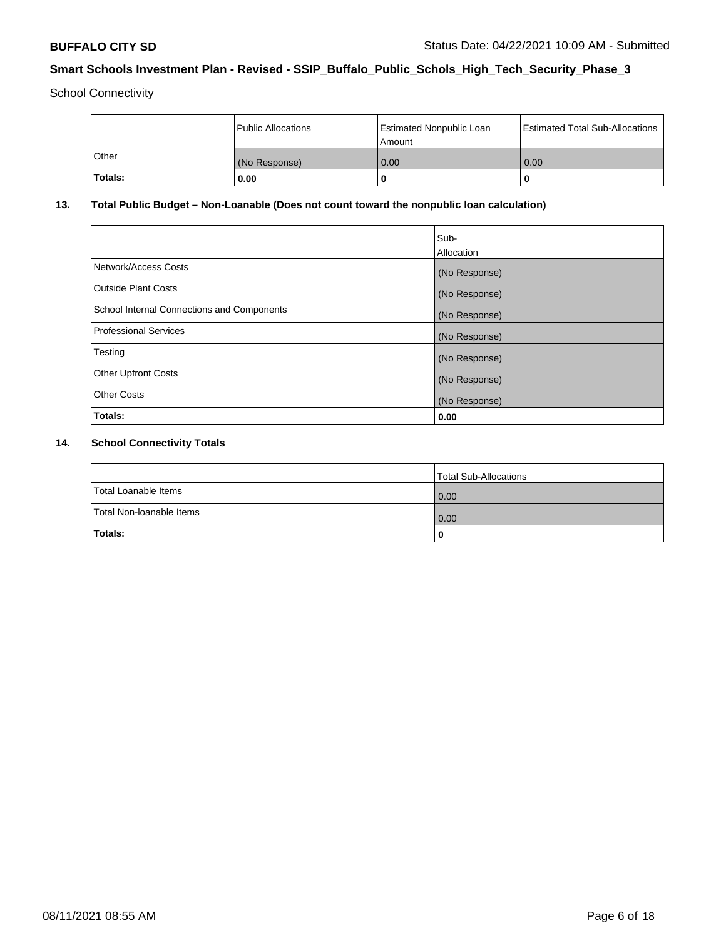School Connectivity

|         | <b>Public Allocations</b> | <b>Estimated Nonpublic Loan</b><br>Amount | <b>Estimated Total Sub-Allocations</b> |
|---------|---------------------------|-------------------------------------------|----------------------------------------|
| Other   | (No Response)             | 0.00                                      | 0.00                                   |
| Totals: | 0.00                      |                                           | O                                      |

# **13. Total Public Budget – Non-Loanable (Does not count toward the nonpublic loan calculation)**

|                                                   | Sub-<br>Allocation |
|---------------------------------------------------|--------------------|
|                                                   |                    |
| Network/Access Costs                              | (No Response)      |
| <b>Outside Plant Costs</b>                        | (No Response)      |
| <b>School Internal Connections and Components</b> | (No Response)      |
| Professional Services                             | (No Response)      |
| Testing                                           | (No Response)      |
| <b>Other Upfront Costs</b>                        | (No Response)      |
| <b>Other Costs</b>                                | (No Response)      |
| <b>Totals:</b>                                    | 0.00               |

# **14. School Connectivity Totals**

|                          | Total Sub-Allocations |
|--------------------------|-----------------------|
| Total Loanable Items     | 0.00                  |
| Total Non-Ioanable Items | 0.00                  |
| Totals:                  | 0                     |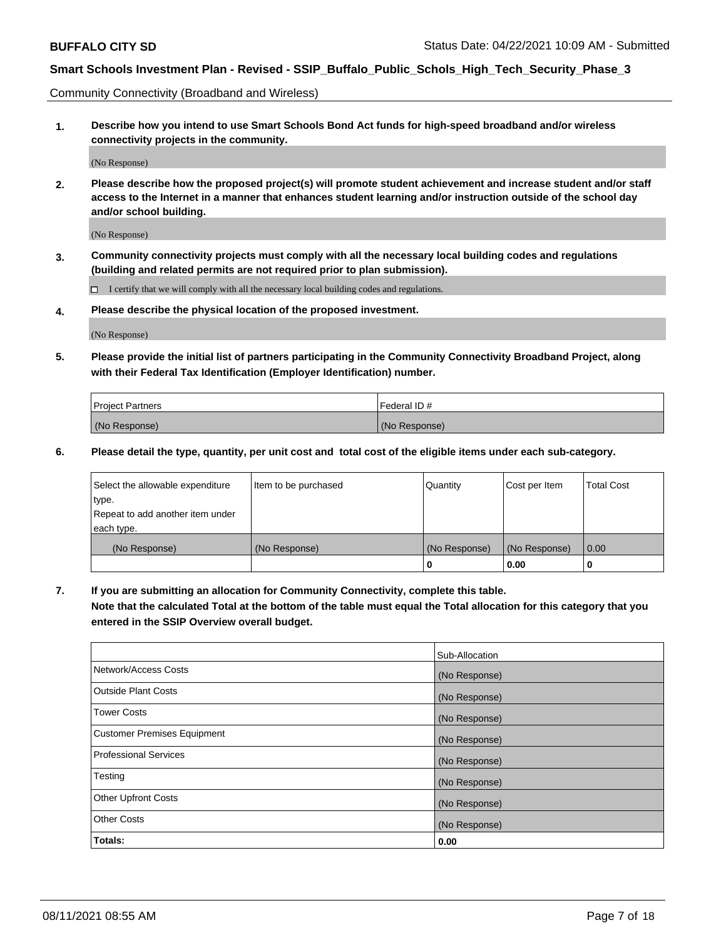Community Connectivity (Broadband and Wireless)

**1. Describe how you intend to use Smart Schools Bond Act funds for high-speed broadband and/or wireless connectivity projects in the community.**

(No Response)

**2. Please describe how the proposed project(s) will promote student achievement and increase student and/or staff access to the Internet in a manner that enhances student learning and/or instruction outside of the school day and/or school building.**

(No Response)

**3. Community connectivity projects must comply with all the necessary local building codes and regulations (building and related permits are not required prior to plan submission).**

 $\Box$  I certify that we will comply with all the necessary local building codes and regulations.

**4. Please describe the physical location of the proposed investment.**

(No Response)

**5. Please provide the initial list of partners participating in the Community Connectivity Broadband Project, along with their Federal Tax Identification (Employer Identification) number.**

| <b>Project Partners</b> | l Federal ID # |
|-------------------------|----------------|
| (No Response)           | (No Response)  |

**6. Please detail the type, quantity, per unit cost and total cost of the eligible items under each sub-category.**

| Select the allowable expenditure | Item to be purchased | Quantity      | Cost per Item | <b>Total Cost</b> |
|----------------------------------|----------------------|---------------|---------------|-------------------|
| type.                            |                      |               |               |                   |
| Repeat to add another item under |                      |               |               |                   |
| each type.                       |                      |               |               |                   |
| (No Response)                    | (No Response)        | (No Response) | (No Response) | 0.00              |
|                                  |                      | o             | 0.00          |                   |

**7. If you are submitting an allocation for Community Connectivity, complete this table.**

**Note that the calculated Total at the bottom of the table must equal the Total allocation for this category that you entered in the SSIP Overview overall budget.**

|                                    | Sub-Allocation |
|------------------------------------|----------------|
| Network/Access Costs               | (No Response)  |
| Outside Plant Costs                | (No Response)  |
| <b>Tower Costs</b>                 | (No Response)  |
| <b>Customer Premises Equipment</b> | (No Response)  |
| <b>Professional Services</b>       | (No Response)  |
| Testing                            | (No Response)  |
| <b>Other Upfront Costs</b>         | (No Response)  |
| <b>Other Costs</b>                 | (No Response)  |
| Totals:                            | 0.00           |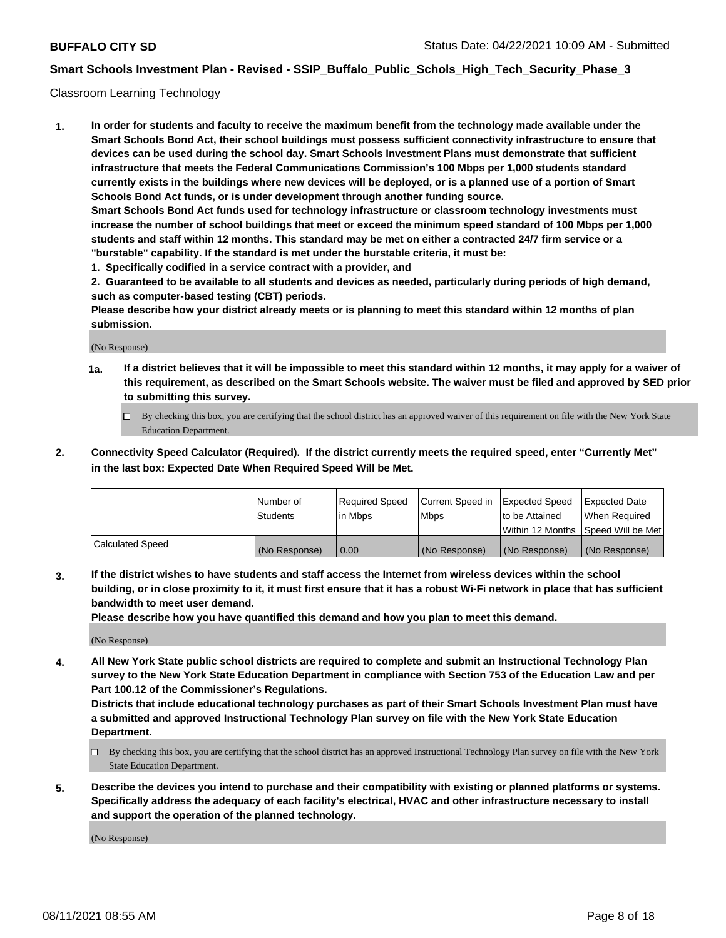#### Classroom Learning Technology

**1. In order for students and faculty to receive the maximum benefit from the technology made available under the Smart Schools Bond Act, their school buildings must possess sufficient connectivity infrastructure to ensure that devices can be used during the school day. Smart Schools Investment Plans must demonstrate that sufficient infrastructure that meets the Federal Communications Commission's 100 Mbps per 1,000 students standard currently exists in the buildings where new devices will be deployed, or is a planned use of a portion of Smart Schools Bond Act funds, or is under development through another funding source. Smart Schools Bond Act funds used for technology infrastructure or classroom technology investments must increase the number of school buildings that meet or exceed the minimum speed standard of 100 Mbps per 1,000 students and staff within 12 months. This standard may be met on either a contracted 24/7 firm service or a "burstable" capability. If the standard is met under the burstable criteria, it must be:**

**1. Specifically codified in a service contract with a provider, and**

**2. Guaranteed to be available to all students and devices as needed, particularly during periods of high demand, such as computer-based testing (CBT) periods.**

**Please describe how your district already meets or is planning to meet this standard within 12 months of plan submission.**

(No Response)

- **1a. If a district believes that it will be impossible to meet this standard within 12 months, it may apply for a waiver of this requirement, as described on the Smart Schools website. The waiver must be filed and approved by SED prior to submitting this survey.**
	- By checking this box, you are certifying that the school district has an approved waiver of this requirement on file with the New York State Education Department.
- **2. Connectivity Speed Calculator (Required). If the district currently meets the required speed, enter "Currently Met" in the last box: Expected Date When Required Speed Will be Met.**

|                         | l Number of<br><b>Students</b> | Required Speed<br>l in Mbps | Current Speed in<br>l Mbps | Expected Speed<br>to be Attained | <b>Expected Date</b><br>When Required |
|-------------------------|--------------------------------|-----------------------------|----------------------------|----------------------------------|---------------------------------------|
|                         |                                |                             |                            |                                  | Within 12 Months  Speed Will be Met   |
| <b>Calculated Speed</b> | (No Response)                  | 0.00                        | (No Response)              | (No Response)                    | (No Response)                         |

**3. If the district wishes to have students and staff access the Internet from wireless devices within the school building, or in close proximity to it, it must first ensure that it has a robust Wi-Fi network in place that has sufficient bandwidth to meet user demand.**

**Please describe how you have quantified this demand and how you plan to meet this demand.**

(No Response)

**4. All New York State public school districts are required to complete and submit an Instructional Technology Plan survey to the New York State Education Department in compliance with Section 753 of the Education Law and per Part 100.12 of the Commissioner's Regulations.**

**Districts that include educational technology purchases as part of their Smart Schools Investment Plan must have a submitted and approved Instructional Technology Plan survey on file with the New York State Education Department.**

- By checking this box, you are certifying that the school district has an approved Instructional Technology Plan survey on file with the New York State Education Department.
- **5. Describe the devices you intend to purchase and their compatibility with existing or planned platforms or systems. Specifically address the adequacy of each facility's electrical, HVAC and other infrastructure necessary to install and support the operation of the planned technology.**

(No Response)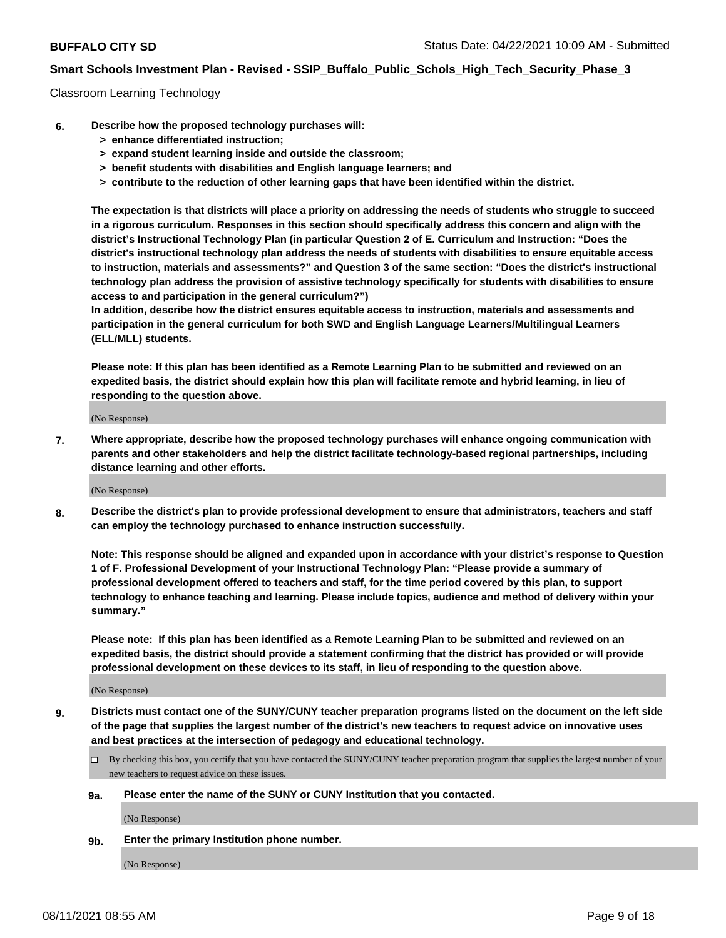### Classroom Learning Technology

- **6. Describe how the proposed technology purchases will:**
	- **> enhance differentiated instruction;**
	- **> expand student learning inside and outside the classroom;**
	- **> benefit students with disabilities and English language learners; and**
	- **> contribute to the reduction of other learning gaps that have been identified within the district.**

**The expectation is that districts will place a priority on addressing the needs of students who struggle to succeed in a rigorous curriculum. Responses in this section should specifically address this concern and align with the district's Instructional Technology Plan (in particular Question 2 of E. Curriculum and Instruction: "Does the district's instructional technology plan address the needs of students with disabilities to ensure equitable access to instruction, materials and assessments?" and Question 3 of the same section: "Does the district's instructional technology plan address the provision of assistive technology specifically for students with disabilities to ensure access to and participation in the general curriculum?")**

**In addition, describe how the district ensures equitable access to instruction, materials and assessments and participation in the general curriculum for both SWD and English Language Learners/Multilingual Learners (ELL/MLL) students.**

**Please note: If this plan has been identified as a Remote Learning Plan to be submitted and reviewed on an expedited basis, the district should explain how this plan will facilitate remote and hybrid learning, in lieu of responding to the question above.**

(No Response)

**7. Where appropriate, describe how the proposed technology purchases will enhance ongoing communication with parents and other stakeholders and help the district facilitate technology-based regional partnerships, including distance learning and other efforts.**

(No Response)

**8. Describe the district's plan to provide professional development to ensure that administrators, teachers and staff can employ the technology purchased to enhance instruction successfully.**

**Note: This response should be aligned and expanded upon in accordance with your district's response to Question 1 of F. Professional Development of your Instructional Technology Plan: "Please provide a summary of professional development offered to teachers and staff, for the time period covered by this plan, to support technology to enhance teaching and learning. Please include topics, audience and method of delivery within your summary."**

**Please note: If this plan has been identified as a Remote Learning Plan to be submitted and reviewed on an expedited basis, the district should provide a statement confirming that the district has provided or will provide professional development on these devices to its staff, in lieu of responding to the question above.**

(No Response)

- **9. Districts must contact one of the SUNY/CUNY teacher preparation programs listed on the document on the left side of the page that supplies the largest number of the district's new teachers to request advice on innovative uses and best practices at the intersection of pedagogy and educational technology.**
	- $\Box$  By checking this box, you certify that you have contacted the SUNY/CUNY teacher preparation program that supplies the largest number of your new teachers to request advice on these issues.

#### **9a. Please enter the name of the SUNY or CUNY Institution that you contacted.**

(No Response)

**9b. Enter the primary Institution phone number.**

(No Response)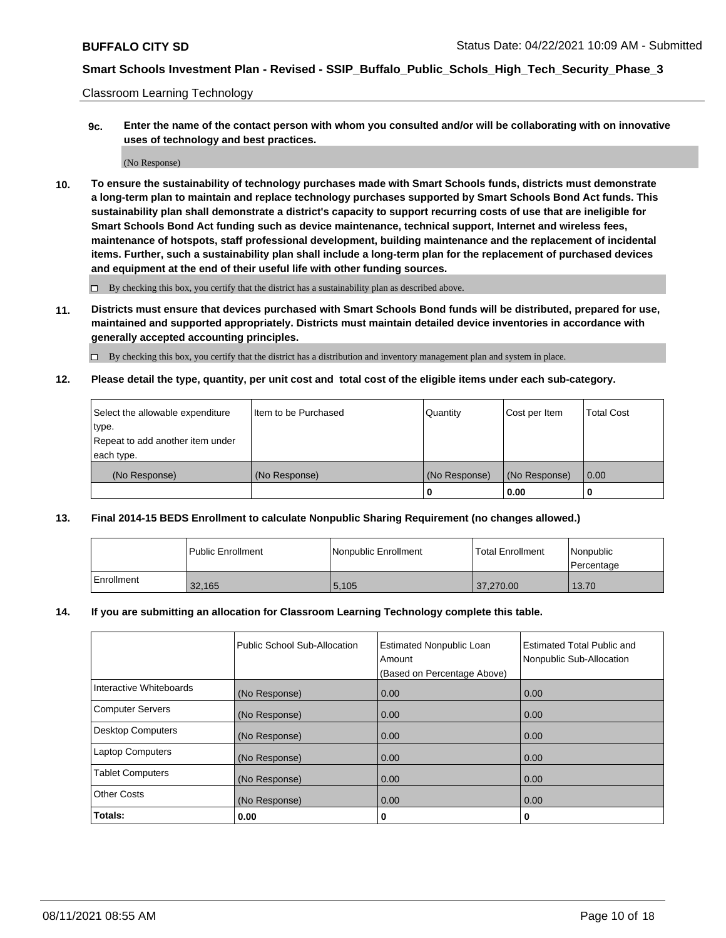Classroom Learning Technology

**9c. Enter the name of the contact person with whom you consulted and/or will be collaborating with on innovative uses of technology and best practices.**

(No Response)

**10. To ensure the sustainability of technology purchases made with Smart Schools funds, districts must demonstrate a long-term plan to maintain and replace technology purchases supported by Smart Schools Bond Act funds. This sustainability plan shall demonstrate a district's capacity to support recurring costs of use that are ineligible for Smart Schools Bond Act funding such as device maintenance, technical support, Internet and wireless fees, maintenance of hotspots, staff professional development, building maintenance and the replacement of incidental items. Further, such a sustainability plan shall include a long-term plan for the replacement of purchased devices and equipment at the end of their useful life with other funding sources.**

 $\square$  By checking this box, you certify that the district has a sustainability plan as described above.

**11. Districts must ensure that devices purchased with Smart Schools Bond funds will be distributed, prepared for use, maintained and supported appropriately. Districts must maintain detailed device inventories in accordance with generally accepted accounting principles.**

By checking this box, you certify that the district has a distribution and inventory management plan and system in place.

**12. Please detail the type, quantity, per unit cost and total cost of the eligible items under each sub-category.**

| Select the allowable expenditure | Item to be Purchased | Quantity      | Cost per Item | <b>Total Cost</b> |
|----------------------------------|----------------------|---------------|---------------|-------------------|
| type.                            |                      |               |               |                   |
| Repeat to add another item under |                      |               |               |                   |
| each type.                       |                      |               |               |                   |
| (No Response)                    | (No Response)        | (No Response) | (No Response) | $\overline{0.00}$ |
|                                  |                      |               | 0.00          |                   |

### **13. Final 2014-15 BEDS Enrollment to calculate Nonpublic Sharing Requirement (no changes allowed.)**

|            | l Public Enrollment | Nonpublic Enrollment | <b>Total Enrollment</b> | <i>Nonpublic</i><br>l Percentage |
|------------|---------------------|----------------------|-------------------------|----------------------------------|
| Enrollment | 32,165              | 5,105                | 37.270.00               | 13.70                            |

### **14. If you are submitting an allocation for Classroom Learning Technology complete this table.**

|                          | Public School Sub-Allocation | <b>Estimated Nonpublic Loan</b><br>Amount | <b>Estimated Total Public and</b><br>Nonpublic Sub-Allocation |
|--------------------------|------------------------------|-------------------------------------------|---------------------------------------------------------------|
|                          |                              | (Based on Percentage Above)               |                                                               |
| Interactive Whiteboards  | (No Response)                | 0.00                                      | 0.00                                                          |
| <b>Computer Servers</b>  | (No Response)                | 0.00                                      | 0.00                                                          |
| <b>Desktop Computers</b> | (No Response)                | 0.00                                      | 0.00                                                          |
| <b>Laptop Computers</b>  | (No Response)                | 0.00                                      | 0.00                                                          |
| <b>Tablet Computers</b>  | (No Response)                | 0.00                                      | 0.00                                                          |
| <b>Other Costs</b>       | (No Response)                | 0.00                                      | 0.00                                                          |
| Totals:                  | 0.00                         | 0                                         | v                                                             |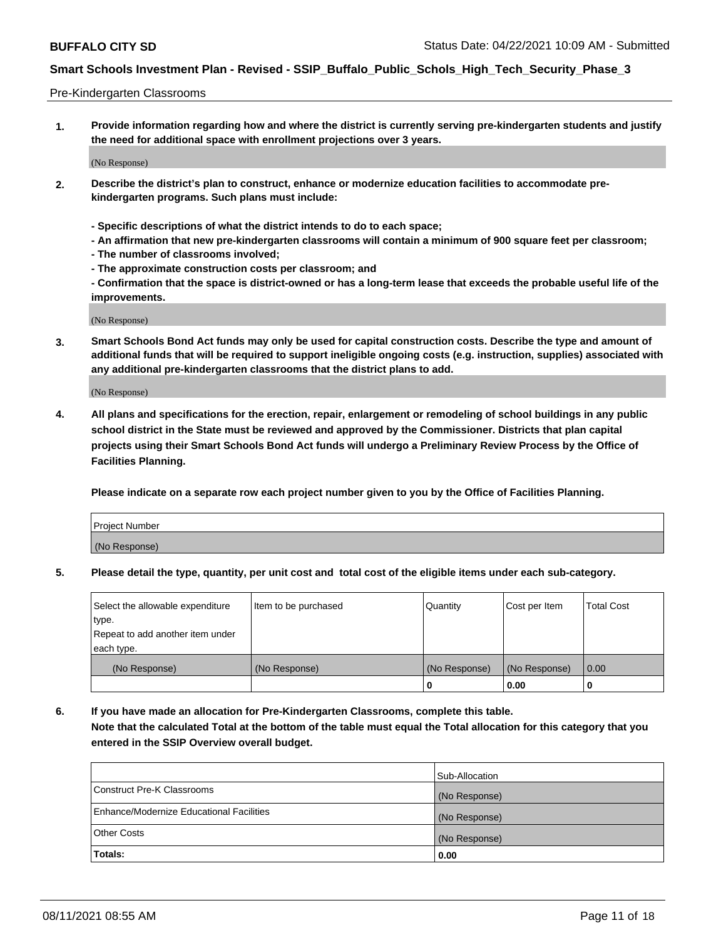#### Pre-Kindergarten Classrooms

**1. Provide information regarding how and where the district is currently serving pre-kindergarten students and justify the need for additional space with enrollment projections over 3 years.**

(No Response)

- **2. Describe the district's plan to construct, enhance or modernize education facilities to accommodate prekindergarten programs. Such plans must include:**
	- **Specific descriptions of what the district intends to do to each space;**
	- **An affirmation that new pre-kindergarten classrooms will contain a minimum of 900 square feet per classroom;**
	- **The number of classrooms involved;**
	- **The approximate construction costs per classroom; and**
	- **Confirmation that the space is district-owned or has a long-term lease that exceeds the probable useful life of the improvements.**

(No Response)

**3. Smart Schools Bond Act funds may only be used for capital construction costs. Describe the type and amount of additional funds that will be required to support ineligible ongoing costs (e.g. instruction, supplies) associated with any additional pre-kindergarten classrooms that the district plans to add.**

(No Response)

**4. All plans and specifications for the erection, repair, enlargement or remodeling of school buildings in any public school district in the State must be reviewed and approved by the Commissioner. Districts that plan capital projects using their Smart Schools Bond Act funds will undergo a Preliminary Review Process by the Office of Facilities Planning.**

**Please indicate on a separate row each project number given to you by the Office of Facilities Planning.**

| Project Number |  |
|----------------|--|
| (No Response)  |  |
|                |  |

**5. Please detail the type, quantity, per unit cost and total cost of the eligible items under each sub-category.**

| Select the allowable expenditure | Item to be purchased | Quantity      | Cost per Item | <b>Total Cost</b> |
|----------------------------------|----------------------|---------------|---------------|-------------------|
| type.                            |                      |               |               |                   |
| Repeat to add another item under |                      |               |               |                   |
| each type.                       |                      |               |               |                   |
| (No Response)                    | (No Response)        | (No Response) | (No Response) | 0.00              |
|                                  |                      | U             | 0.00          |                   |

**6. If you have made an allocation for Pre-Kindergarten Classrooms, complete this table. Note that the calculated Total at the bottom of the table must equal the Total allocation for this category that you entered in the SSIP Overview overall budget.**

|                                          | Sub-Allocation |
|------------------------------------------|----------------|
| Construct Pre-K Classrooms               | (No Response)  |
| Enhance/Modernize Educational Facilities | (No Response)  |
| <b>Other Costs</b>                       | (No Response)  |
| Totals:                                  | 0.00           |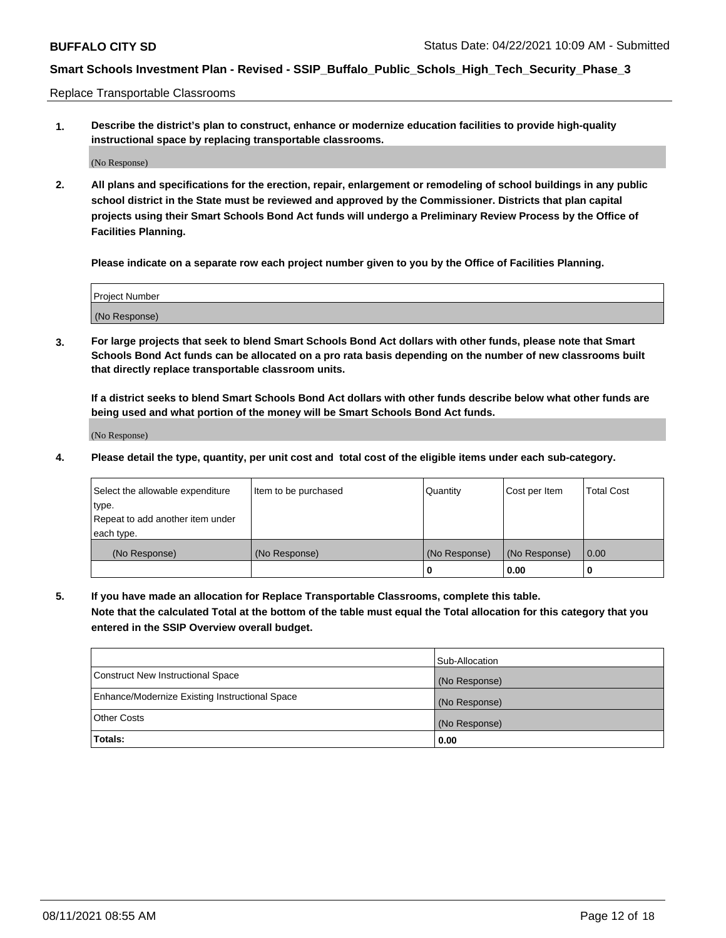Replace Transportable Classrooms

**1. Describe the district's plan to construct, enhance or modernize education facilities to provide high-quality instructional space by replacing transportable classrooms.**

(No Response)

**2. All plans and specifications for the erection, repair, enlargement or remodeling of school buildings in any public school district in the State must be reviewed and approved by the Commissioner. Districts that plan capital projects using their Smart Schools Bond Act funds will undergo a Preliminary Review Process by the Office of Facilities Planning.**

**Please indicate on a separate row each project number given to you by the Office of Facilities Planning.**

| Project Number |  |
|----------------|--|
|                |  |
| (No Response)  |  |

**3. For large projects that seek to blend Smart Schools Bond Act dollars with other funds, please note that Smart Schools Bond Act funds can be allocated on a pro rata basis depending on the number of new classrooms built that directly replace transportable classroom units.**

**If a district seeks to blend Smart Schools Bond Act dollars with other funds describe below what other funds are being used and what portion of the money will be Smart Schools Bond Act funds.**

(No Response)

**4. Please detail the type, quantity, per unit cost and total cost of the eligible items under each sub-category.**

| Select the allowable expenditure | Item to be purchased | Cost per Item | Total Cost    |      |
|----------------------------------|----------------------|---------------|---------------|------|
| ∣type.                           |                      |               |               |      |
| Repeat to add another item under |                      |               |               |      |
| each type.                       |                      |               |               |      |
| (No Response)                    | (No Response)        | (No Response) | (No Response) | 0.00 |
|                                  |                      | u             | 0.00          |      |

**5. If you have made an allocation for Replace Transportable Classrooms, complete this table. Note that the calculated Total at the bottom of the table must equal the Total allocation for this category that you entered in the SSIP Overview overall budget.**

|                                                | Sub-Allocation |
|------------------------------------------------|----------------|
| Construct New Instructional Space              | (No Response)  |
| Enhance/Modernize Existing Instructional Space | (No Response)  |
| Other Costs                                    | (No Response)  |
| Totals:                                        | 0.00           |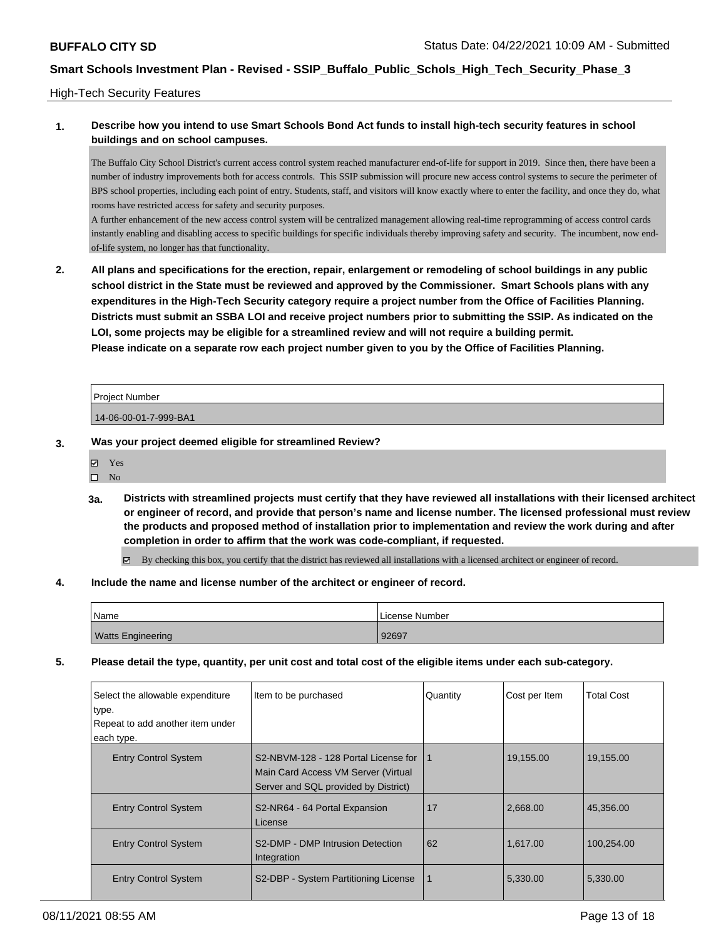### High-Tech Security Features

### **1. Describe how you intend to use Smart Schools Bond Act funds to install high-tech security features in school buildings and on school campuses.**

The Buffalo City School District's current access control system reached manufacturer end-of-life for support in 2019. Since then, there have been a number of industry improvements both for access controls. This SSIP submission will procure new access control systems to secure the perimeter of BPS school properties, including each point of entry. Students, staff, and visitors will know exactly where to enter the facility, and once they do, what rooms have restricted access for safety and security purposes.

A further enhancement of the new access control system will be centralized management allowing real-time reprogramming of access control cards instantly enabling and disabling access to specific buildings for specific individuals thereby improving safety and security. The incumbent, now endof-life system, no longer has that functionality.

**2. All plans and specifications for the erection, repair, enlargement or remodeling of school buildings in any public school district in the State must be reviewed and approved by the Commissioner. Smart Schools plans with any expenditures in the High-Tech Security category require a project number from the Office of Facilities Planning. Districts must submit an SSBA LOI and receive project numbers prior to submitting the SSIP. As indicated on the LOI, some projects may be eligible for a streamlined review and will not require a building permit. Please indicate on a separate row each project number given to you by the Office of Facilities Planning.**

| Project Number        |  |
|-----------------------|--|
| 14-06-00-01-7-999-BA1 |  |

### **3. Was your project deemed eligible for streamlined Review?**

| - |
|---|
|   |

- $\square$  No
- **3a. Districts with streamlined projects must certify that they have reviewed all installations with their licensed architect or engineer of record, and provide that person's name and license number. The licensed professional must review the products and proposed method of installation prior to implementation and review the work during and after completion in order to affirm that the work was code-compliant, if requested.**

By checking this box, you certify that the district has reviewed all installations with a licensed architect or engineer of record.

#### **4. Include the name and license number of the architect or engineer of record.**

| 'Name                    | l License Number |
|--------------------------|------------------|
| <b>Watts Engineering</b> | 92697            |

**5. Please detail the type, quantity, per unit cost and total cost of the eligible items under each sub-category.**

| Select the allowable expenditure<br>type.<br>Repeat to add another item under<br>each type. | Item to be purchased                                                                                                | Quantity | Cost per Item | <b>Total Cost</b> |
|---------------------------------------------------------------------------------------------|---------------------------------------------------------------------------------------------------------------------|----------|---------------|-------------------|
| <b>Entry Control System</b>                                                                 | S2-NBVM-128 - 128 Portal License for<br>Main Card Access VM Server (Virtual<br>Server and SQL provided by District) |          | 19,155.00     | 19,155.00         |
| <b>Entry Control System</b>                                                                 | S2-NR64 - 64 Portal Expansion<br>License                                                                            | 17       | 2.668.00      | 45,356.00         |
| <b>Entry Control System</b>                                                                 | S2-DMP - DMP Intrusion Detection<br>Integration                                                                     | 62       | 1,617.00      | 100,254.00        |
| <b>Entry Control System</b>                                                                 | S2-DBP - System Partitioning License                                                                                |          | 5,330.00      | 5,330.00          |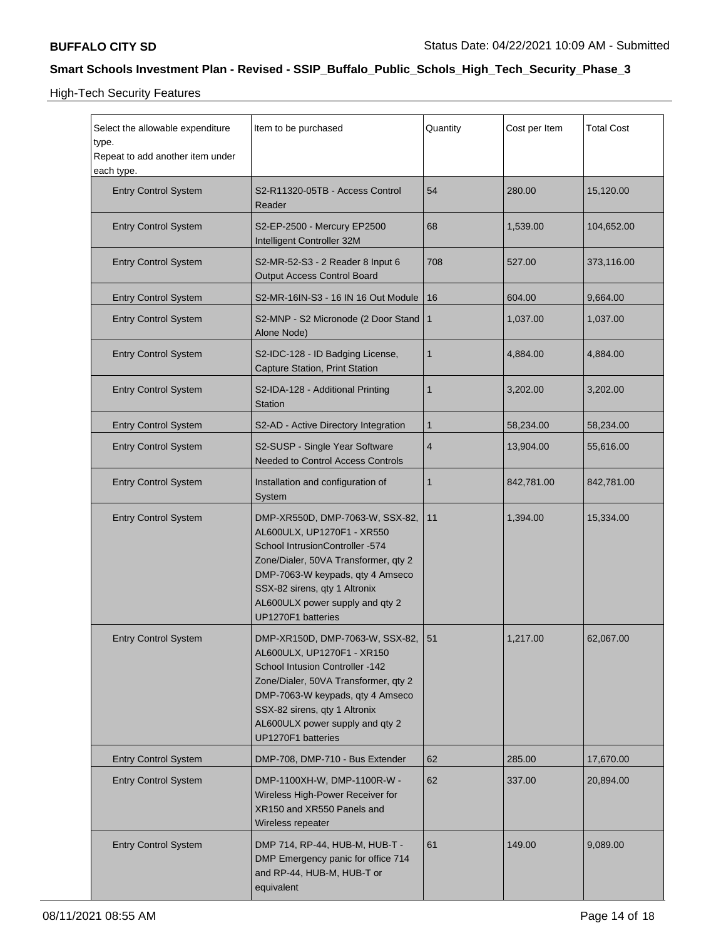High-Tech Security Features

| Select the allowable expenditure<br>type.<br>Repeat to add another item under                                                                   | Item to be purchased                                                                                                                                                                                                                                                      | Quantity     | Cost per Item | <b>Total Cost</b> |
|-------------------------------------------------------------------------------------------------------------------------------------------------|---------------------------------------------------------------------------------------------------------------------------------------------------------------------------------------------------------------------------------------------------------------------------|--------------|---------------|-------------------|
| each type.<br><b>Entry Control System</b>                                                                                                       | S2-R11320-05TB - Access Control<br>Reader                                                                                                                                                                                                                                 | 54           | 280.00        | 15,120.00         |
| <b>Entry Control System</b>                                                                                                                     | S2-EP-2500 - Mercury EP2500<br>Intelligent Controller 32M                                                                                                                                                                                                                 | 68           | 1,539.00      | 104,652.00        |
| <b>Entry Control System</b>                                                                                                                     | S2-MR-52-S3 - 2 Reader 8 Input 6<br>Output Access Control Board                                                                                                                                                                                                           | 708          | 527.00        | 373,116.00        |
| <b>Entry Control System</b>                                                                                                                     | S2-MR-16IN-S3 - 16 IN 16 Out Module                                                                                                                                                                                                                                       | 16           | 604.00        | 9,664.00          |
| <b>Entry Control System</b>                                                                                                                     | S2-MNP - S2 Micronode (2 Door Stand   1<br>Alone Node)                                                                                                                                                                                                                    |              | 1,037.00      | 1,037.00          |
| <b>Entry Control System</b>                                                                                                                     | S2-IDC-128 - ID Badging License,<br>Capture Station, Print Station                                                                                                                                                                                                        | $\mathbf{1}$ | 4,884.00      | 4,884.00          |
| <b>Entry Control System</b>                                                                                                                     | S2-IDA-128 - Additional Printing<br><b>Station</b>                                                                                                                                                                                                                        | 1            | 3,202.00      | 3,202.00          |
| <b>Entry Control System</b>                                                                                                                     | S2-AD - Active Directory Integration                                                                                                                                                                                                                                      | 1            | 58,234.00     | 58,234.00         |
| <b>Entry Control System</b>                                                                                                                     | S2-SUSP - Single Year Software<br>Needed to Control Access Controls                                                                                                                                                                                                       | 4            | 13,904.00     | 55,616.00         |
| <b>Entry Control System</b>                                                                                                                     | Installation and configuration of<br>System                                                                                                                                                                                                                               | 1            | 842,781.00    | 842,781.00        |
| <b>Entry Control System</b>                                                                                                                     | DMP-XR550D, DMP-7063-W, SSX-82,<br>AL600ULX, UP1270F1 - XR550<br>School IntrusionController -574<br>Zone/Dialer, 50VA Transformer, qty 2<br>DMP-7063-W keypads, qty 4 Amseco<br>SSX-82 sirens, qty 1 Altronix<br>AL600ULX power supply and qty 2<br>UP1270F1 batteries    | 11           | 1,394.00      | 15,334.00         |
| <b>Entry Control System</b>                                                                                                                     | DMP-XR150D, DMP-7063-W, SSX-82, 51<br>AL600ULX, UP1270F1 - XR150<br>School Intusion Controller -142<br>Zone/Dialer, 50VA Transformer, gty 2<br>DMP-7063-W keypads, qty 4 Amseco<br>SSX-82 sirens, qty 1 Altronix<br>AL600ULX power supply and qty 2<br>UP1270F1 batteries |              | 1,217.00      | 62,067.00         |
| <b>Entry Control System</b>                                                                                                                     | DMP-708, DMP-710 - Bus Extender                                                                                                                                                                                                                                           | 62           | 285.00        | 17,670.00         |
| <b>Entry Control System</b>                                                                                                                     | DMP-1100XH-W, DMP-1100R-W -<br>Wireless High-Power Receiver for<br>XR150 and XR550 Panels and<br>Wireless repeater                                                                                                                                                        |              | 337.00        | 20,894.00         |
| DMP 714, RP-44, HUB-M, HUB-T -<br><b>Entry Control System</b><br>DMP Emergency panic for office 714<br>and RP-44, HUB-M, HUB-T or<br>equivalent |                                                                                                                                                                                                                                                                           | 61           | 149.00        | 9,089.00          |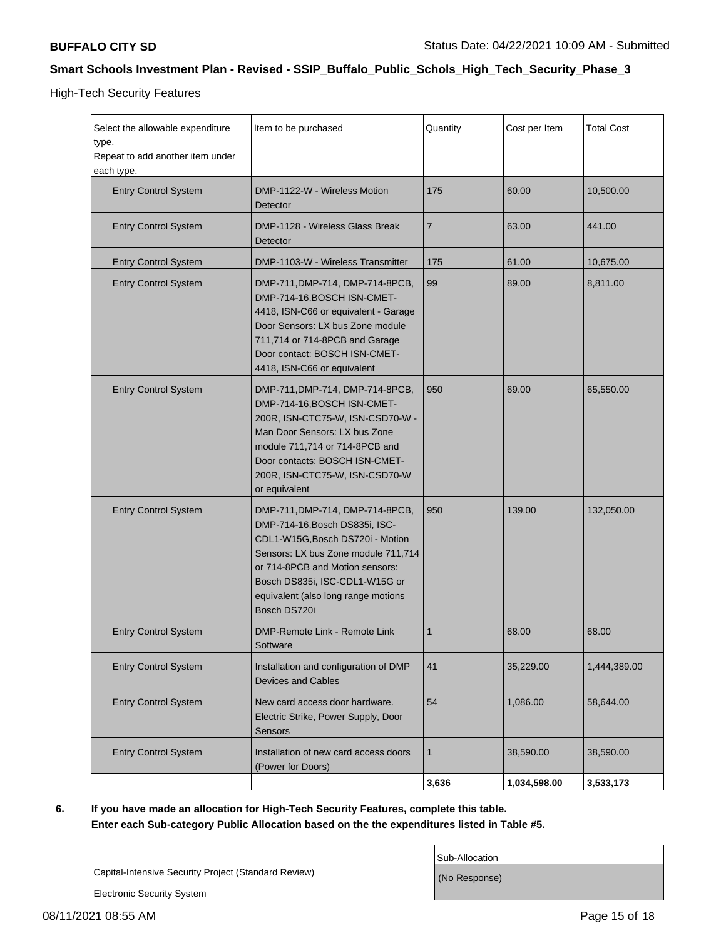High-Tech Security Features

| Select the allowable expenditure<br>type.<br>Repeat to add another item under<br>each type. | Item to be purchased                                                                                                                                                                                                                                                     | Quantity     | Cost per Item | <b>Total Cost</b> |
|---------------------------------------------------------------------------------------------|--------------------------------------------------------------------------------------------------------------------------------------------------------------------------------------------------------------------------------------------------------------------------|--------------|---------------|-------------------|
| <b>Entry Control System</b>                                                                 | DMP-1122-W - Wireless Motion<br>Detector                                                                                                                                                                                                                                 | 175          | 60.00         | 10,500.00         |
| <b>Entry Control System</b>                                                                 | DMP-1128 - Wireless Glass Break<br>Detector                                                                                                                                                                                                                              | 7            | 63.00         | 441.00            |
| <b>Entry Control System</b>                                                                 | DMP-1103-W - Wireless Transmitter                                                                                                                                                                                                                                        | 175          | 61.00         | 10,675.00         |
| <b>Entry Control System</b>                                                                 | DMP-711, DMP-714, DMP-714-8PCB,<br>99<br>89.00<br>DMP-714-16, BOSCH ISN-CMET-<br>4418, ISN-C66 or equivalent - Garage<br>Door Sensors: LX bus Zone module<br>711,714 or 714-8PCB and Garage<br>Door contact: BOSCH ISN-CMET-<br>4418, ISN-C66 or equivalent              |              | 8,811.00      |                   |
| <b>Entry Control System</b>                                                                 | DMP-711, DMP-714, DMP-714-8PCB,<br>DMP-714-16, BOSCH ISN-CMET-<br>200R, ISN-CTC75-W, ISN-CSD70-W -<br>Man Door Sensors: LX bus Zone<br>module 711,714 or 714-8PCB and<br>Door contacts: BOSCH ISN-CMET-<br>200R, ISN-CTC75-W, ISN-CSD70-W<br>or equivalent               | 950          | 69.00         | 65,550.00         |
| <b>Entry Control System</b>                                                                 | DMP-711, DMP-714, DMP-714-8PCB,<br>DMP-714-16, Bosch DS835i, ISC-<br>CDL1-W15G, Bosch DS720i - Motion<br>Sensors: LX bus Zone module 711,714<br>or 714-8PCB and Motion sensors:<br>Bosch DS835i, ISC-CDL1-W15G or<br>equivalent (also long range motions<br>Bosch DS720i | 950          | 139.00        | 132,050.00        |
| <b>Entry Control System</b>                                                                 | DMP-Remote Link - Remote Link<br>Software                                                                                                                                                                                                                                | 1            | 68.00         | 68.00             |
| <b>Entry Control System</b>                                                                 | Installation and configuration of DMP<br>Devices and Cables                                                                                                                                                                                                              |              | 35,229.00     | 1,444,389.00      |
| <b>Entry Control System</b>                                                                 | New card access door hardware.<br>Electric Strike, Power Supply, Door<br>Sensors                                                                                                                                                                                         | 54           | 1,086.00      | 58,644.00         |
| <b>Entry Control System</b><br>Installation of new card access doors<br>(Power for Doors)   |                                                                                                                                                                                                                                                                          | $\mathbf{1}$ | 38,590.00     | 38,590.00         |
|                                                                                             |                                                                                                                                                                                                                                                                          | 3,636        | 1,034,598.00  | 3,533,173         |

**6. If you have made an allocation for High-Tech Security Features, complete this table. Enter each Sub-category Public Allocation based on the the expenditures listed in Table #5.**

|                                                      | Sub-Allocation |
|------------------------------------------------------|----------------|
| Capital-Intensive Security Project (Standard Review) | (No Response)  |
| <b>Electronic Security System</b>                    |                |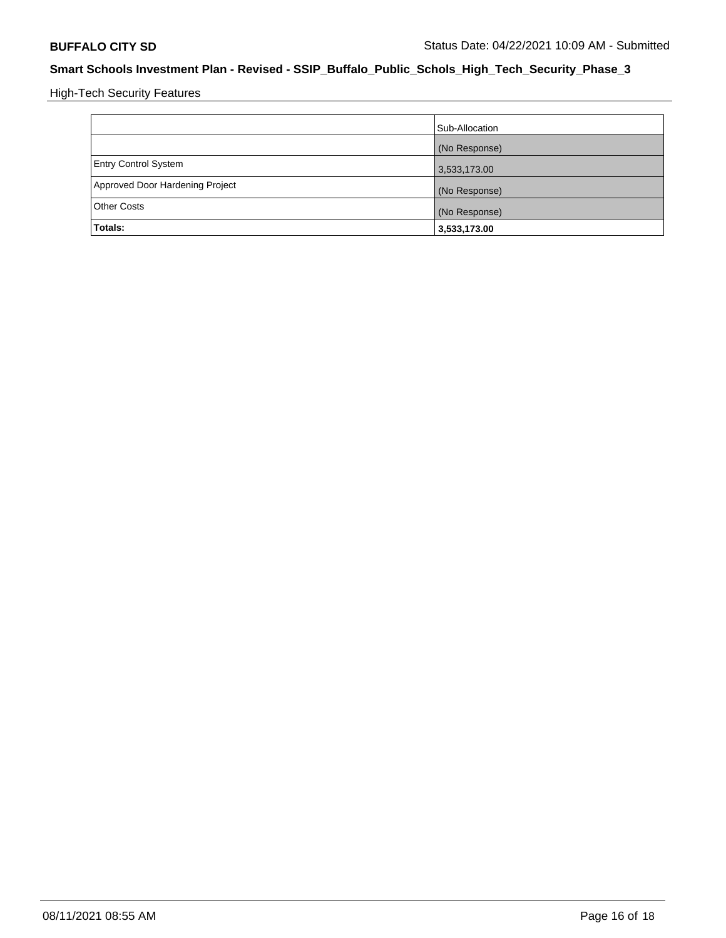High-Tech Security Features

|                                 | Sub-Allocation |
|---------------------------------|----------------|
|                                 | (No Response)  |
| <b>Entry Control System</b>     | 3,533,173.00   |
| Approved Door Hardening Project | (No Response)  |
| <b>Other Costs</b>              | (No Response)  |
| Totals:                         | 3,533,173.00   |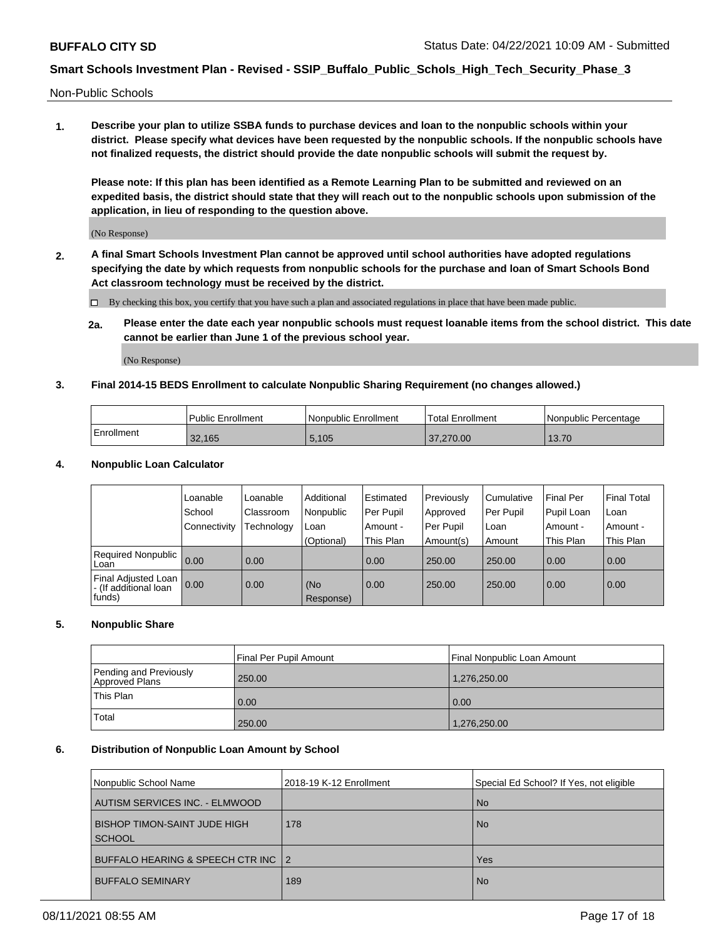Non-Public Schools

**1. Describe your plan to utilize SSBA funds to purchase devices and loan to the nonpublic schools within your district. Please specify what devices have been requested by the nonpublic schools. If the nonpublic schools have not finalized requests, the district should provide the date nonpublic schools will submit the request by.**

**Please note: If this plan has been identified as a Remote Learning Plan to be submitted and reviewed on an expedited basis, the district should state that they will reach out to the nonpublic schools upon submission of the application, in lieu of responding to the question above.**

(No Response)

**2. A final Smart Schools Investment Plan cannot be approved until school authorities have adopted regulations specifying the date by which requests from nonpublic schools for the purchase and loan of Smart Schools Bond Act classroom technology must be received by the district.**

By checking this box, you certify that you have such a plan and associated regulations in place that have been made public.

**2a. Please enter the date each year nonpublic schools must request loanable items from the school district. This date cannot be earlier than June 1 of the previous school year.**

(No Response)

### **3. Final 2014-15 BEDS Enrollment to calculate Nonpublic Sharing Requirement (no changes allowed.)**

|            | Public Enrollment | <b>Nonpublic Enrollment</b> | <b>Total Enrollment</b> | Nonpublic Percentage |
|------------|-------------------|-----------------------------|-------------------------|----------------------|
| Enrollment | 32.165            | 5,105                       | 37,270.00               | 13.70                |

#### **4. Nonpublic Loan Calculator**

|                                                          | Loanable       | Loanable   | Additional       | Estimated | Previously | l Cumulative | Final Per  | <b>Final Total</b> |
|----------------------------------------------------------|----------------|------------|------------------|-----------|------------|--------------|------------|--------------------|
|                                                          | School         | Classroom  | Nonpublic        | Per Pupil | Approved   | Per Pupil    | Pupil Loan | Loan               |
|                                                          | l Connectivity | Fechnology | Loan             | Amount -  | Per Pupil  | Loan         | Amount -   | Amount -           |
|                                                          |                |            | (Optional)       | This Plan | Amount(s)  | Amount       | This Plan  | This Plan          |
| Required Nonpublic 0.00<br>Loan                          |                | 0.00       |                  | 0.00      | 250.00     | 250.00       | 0.00       | 0.00               |
| Final Adjusted Loan  <br>- (If additional loan<br>funds) | 0.00           | 0.00       | (No<br>Response) | 0.00      | 250.00     | 250.00       | 0.00       | 0.00               |

### **5. Nonpublic Share**

|                                          | Final Per Pupil Amount | Final Nonpublic Loan Amount |  |
|------------------------------------------|------------------------|-----------------------------|--|
| Pending and Previously<br>Approved Plans | 250.00                 | 1.276.250.00                |  |
| <b>This Plan</b><br>Total                | 0.00                   | 0.00                        |  |
|                                          | 250.00                 | 1,276,250.00                |  |

#### **6. Distribution of Nonpublic Loan Amount by School**

| Nonpublic School Name |                                                      | 2018-19 K-12 Enrollment | Special Ed School? If Yes, not eligible |  |
|-----------------------|------------------------------------------------------|-------------------------|-----------------------------------------|--|
|                       | AUTISM SERVICES INC. - ELMWOOD                       |                         | <b>No</b>                               |  |
|                       | <b>BISHOP TIMON-SAINT JUDE HIGH</b><br><b>SCHOOL</b> | 178                     | <b>No</b>                               |  |
|                       | BUFFALO HEARING & SPEECH CTR INC 12                  |                         | Yes                                     |  |
|                       | <b>BUFFALO SEMINARY</b>                              | 189                     | <b>No</b>                               |  |